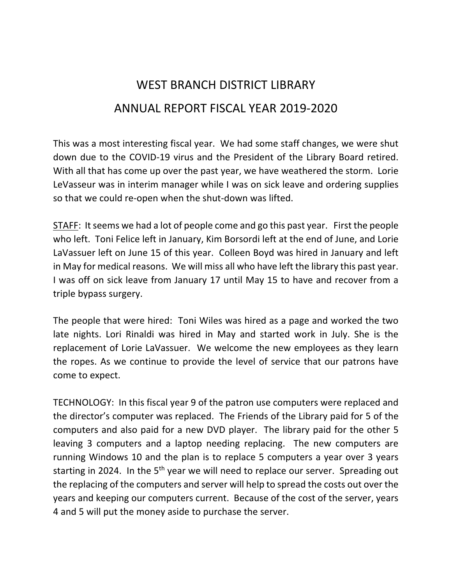# WEST BRANCH DISTRICT LIBRARY ANNUAL REPORT FISCAL YEAR 2019-2020

This was a most interesting fiscal year. We had some staff changes, we were shut down due to the COVID-19 virus and the President of the Library Board retired. With all that has come up over the past year, we have weathered the storm. Lorie LeVasseur was in interim manager while I was on sick leave and ordering supplies so that we could re-open when the shut-down was lifted.

STAFF: It seems we had a lot of people come and go this past year. First the people who left. Toni Felice left in January, Kim Borsordi left at the end of June, and Lorie LaVassuer left on June 15 of this year. Colleen Boyd was hired in January and left in May for medical reasons. We will miss all who have left the library this past year. I was off on sick leave from January 17 until May 15 to have and recover from a triple bypass surgery.

The people that were hired: Toni Wiles was hired as a page and worked the two late nights. Lori Rinaldi was hired in May and started work in July. She is the replacement of Lorie LaVassuer. We welcome the new employees as they learn the ropes. As we continue to provide the level of service that our patrons have come to expect.

TECHNOLOGY: In this fiscal year 9 of the patron use computers were replaced and the director's computer was replaced. The Friends of the Library paid for 5 of the computers and also paid for a new DVD player. The library paid for the other 5 leaving 3 computers and a laptop needing replacing. The new computers are running Windows 10 and the plan is to replace 5 computers a year over 3 years starting in 2024. In the 5<sup>th</sup> year we will need to replace our server. Spreading out the replacing of the computers and server will help to spread the costs out over the years and keeping our computers current. Because of the cost of the server, years 4 and 5 will put the money aside to purchase the server.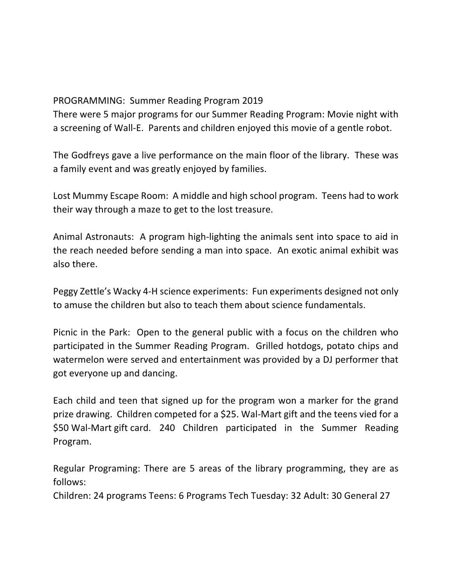#### PROGRAMMING: Summer Reading Program 2019

There were 5 major programs for our Summer Reading Program: Movie night with a screening of Wall-E. Parents and children enjoyed this movie of a gentle robot.

The Godfreys gave a live performance on the main floor of the library. These was a family event and was greatly enjoyed by families.

Lost Mummy Escape Room: A middle and high school program. Teens had to work their way through a maze to get to the lost treasure.

Animal Astronauts: A program high-lighting the animals sent into space to aid in the reach needed before sending a man into space. An exotic animal exhibit was also there.

Peggy Zettle's Wacky 4-H science experiments: Fun experiments designed not only to amuse the children but also to teach them about science fundamentals.

Picnic in the Park: Open to the general public with a focus on the children who participated in the Summer Reading Program. Grilled hotdogs, potato chips and watermelon were served and entertainment was provided by a DJ performer that got everyone up and dancing.

Each child and teen that signed up for the program won a marker for the grand prize drawing. Children competed for a \$25. Wal-Mart gift and the teens vied for a \$50 Wal-Mart gift card. 240 Children participated in the Summer Reading Program.

Regular Programing: There are 5 areas of the library programming, they are as follows:

Children: 24 programs Teens: 6 Programs Tech Tuesday: 32 Adult: 30 General 27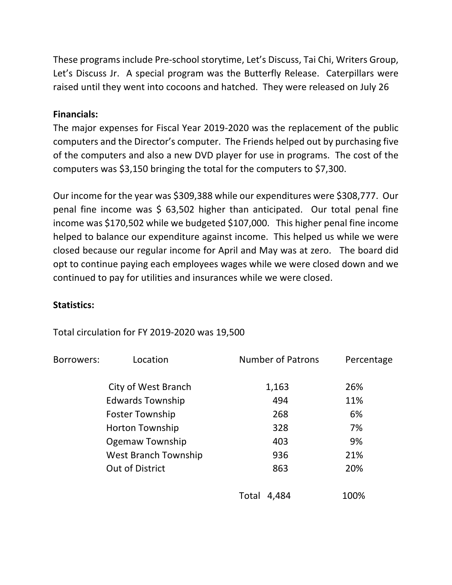These programs include Pre-school storytime, Let's Discuss, Tai Chi, Writers Group, Let's Discuss Jr. A special program was the Butterfly Release. Caterpillars were raised until they went into cocoons and hatched. They were released on July 26

### **Financials:**

The major expenses for Fiscal Year 2019-2020 was the replacement of the public computers and the Director's computer. The Friends helped out by purchasing five of the computers and also a new DVD player for use in programs. The cost of the computers was \$3,150 bringing the total for the computers to \$7,300.

Our income for the year was \$309,388 while our expenditures were \$308,777. Our penal fine income was \$ 63,502 higher than anticipated. Our total penal fine income was \$170,502 while we budgeted \$107,000. This higher penal fine income helped to balance our expenditure against income. This helped us while we were closed because our regular income for April and May was at zero. The board did opt to continue paying each employees wages while we were closed down and we continued to pay for utilities and insurances while we were closed.

#### **Statistics:**

## Total circulation for FY 2019-2020 was 19,500

| Borrowers: | Location                    | <b>Number of Patrons</b> | Percentage |
|------------|-----------------------------|--------------------------|------------|
|            | City of West Branch         | 1,163                    | 26%        |
|            | <b>Edwards Township</b>     | 494                      | 11%        |
|            | <b>Foster Township</b>      | 268                      | 6%         |
|            | <b>Horton Township</b>      | 328                      | 7%         |
|            | Ogemaw Township             | 403                      | 9%         |
|            | <b>West Branch Township</b> | 936                      | 21%        |
|            | <b>Out of District</b>      | 863                      | 20%        |
|            |                             | 4,484<br>Total           | 100%       |